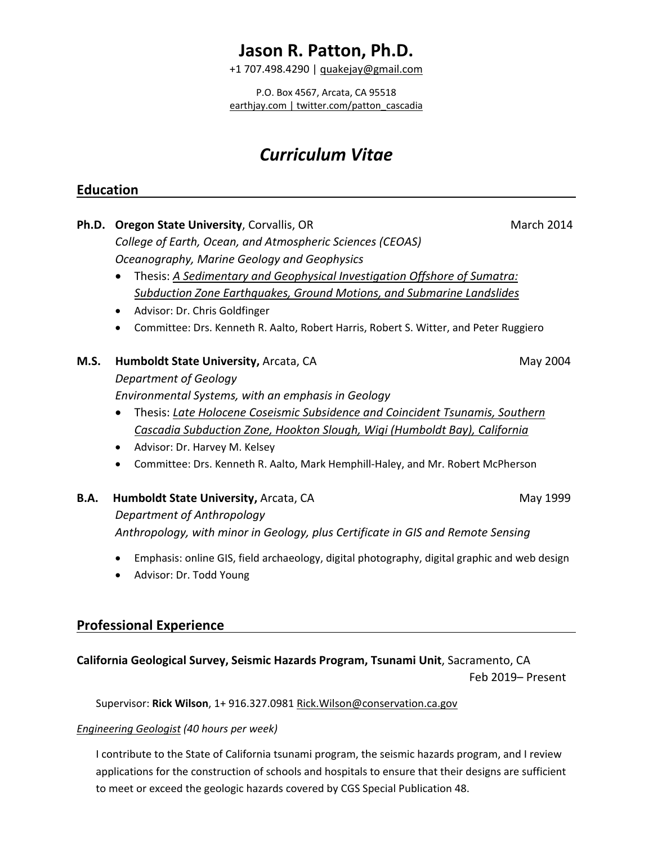# **Jason R. Patton, Ph.D.**

+1 707.498.4290 | quakejay@gmail.com

P.O. Box 4567, Arcata, CA 95518 earthjay.com | twitter.com/patton\_cascadia

# *Curriculum Vitae*

## **Education**

| Ph.D.       | <b>Oregon State University, Corvallis, OR</b>                                                                                | March 2014 |  |
|-------------|------------------------------------------------------------------------------------------------------------------------------|------------|--|
|             | College of Earth, Ocean, and Atmospheric Sciences (CEOAS)                                                                    |            |  |
|             | Oceanography, Marine Geology and Geophysics                                                                                  |            |  |
|             | Thesis: A Sedimentary and Geophysical Investigation Offshore of Sumatra:<br>$\bullet$                                        |            |  |
|             | <b>Subduction Zone Earthquakes, Ground Motions, and Submarine Landslides</b>                                                 |            |  |
|             | Advisor: Dr. Chris Goldfinger<br>$\bullet$                                                                                   |            |  |
|             | Committee: Drs. Kenneth R. Aalto, Robert Harris, Robert S. Witter, and Peter Ruggiero<br>$\bullet$                           |            |  |
| M.S.        | Humboldt State University, Arcata, CA                                                                                        | May 2004   |  |
|             | Department of Geology                                                                                                        |            |  |
|             | Environmental Systems, with an emphasis in Geology                                                                           |            |  |
|             | Thesis: Late Holocene Coseismic Subsidence and Coincident Tsunamis, Southern<br>$\bullet$                                    |            |  |
|             | Cascadia Subduction Zone, Hookton Slough, Wigi (Humboldt Bay), California                                                    |            |  |
|             | Advisor: Dr. Harvey M. Kelsey<br>$\bullet$                                                                                   |            |  |
|             | Committee: Drs. Kenneth R. Aalto, Mark Hemphill-Haley, and Mr. Robert McPherson<br>$\bullet$                                 |            |  |
| <b>B.A.</b> | Humboldt State University, Arcata, CA                                                                                        | May 1999   |  |
|             | Department of Anthropology                                                                                                   |            |  |
|             | Anthropology, with minor in Geology, plus Certificate in GIS and Remote Sensing                                              |            |  |
|             | Emphasis: online GIS, field archaeology, digital photography, digital graphic and web design<br>٠<br>Advisor: Dr. Todd Young |            |  |

## **Professional Experience**

## **California Geological Survey, Seismic Hazards Program, Tsunami Unit**, Sacramento, CA Feb 2019– Present

Supervisor: **Rick Wilson**, 1+ 916.327.0981 Rick.Wilson@conservation.ca.gov

## *Engineering Geologist (40 hours per week)*

I contribute to the State of California tsunami program, the seismic hazards program, and I review applications for the construction of schools and hospitals to ensure that their designs are sufficient to meet or exceed the geologic hazards covered by CGS Special Publication 48.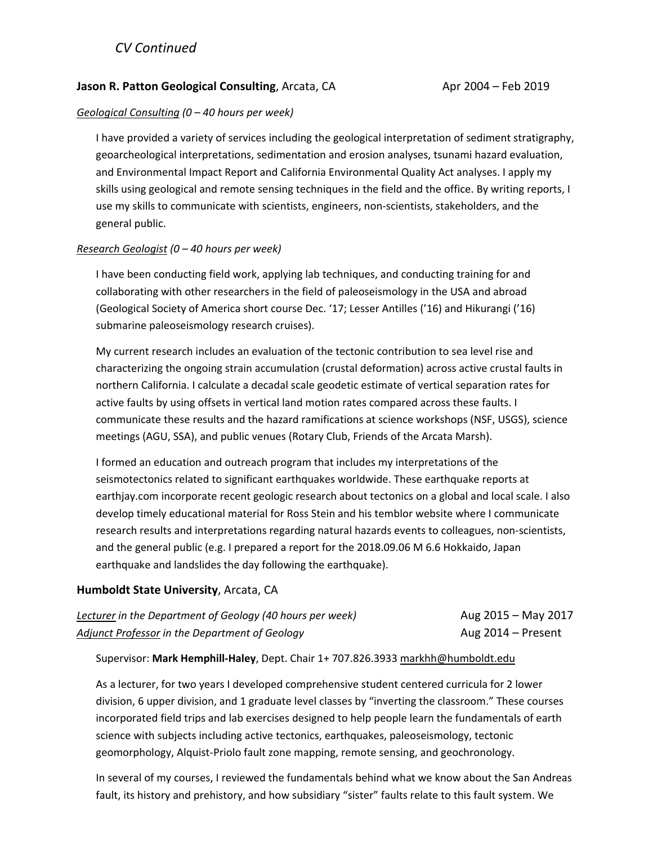### **Jason R. Patton Geological Consulting**, Arcata, CA Apr 2004 – Feb 2019

### *Geological Consulting (0 – 40 hours per week)*

I have provided a variety of services including the geological interpretation of sediment stratigraphy, geoarcheological interpretations, sedimentation and erosion analyses, tsunami hazard evaluation, and Environmental Impact Report and California Environmental Quality Act analyses. I apply my skills using geological and remote sensing techniques in the field and the office. By writing reports, I use my skills to communicate with scientists, engineers, non‐scientists, stakeholders, and the general public.

### *Research Geologist (0 – 40 hours per week)*

I have been conducting field work, applying lab techniques, and conducting training for and collaborating with other researchers in the field of paleoseismology in the USA and abroad (Geological Society of America short course Dec. '17; Lesser Antilles ('16) and Hikurangi ('16) submarine paleoseismology research cruises).

My current research includes an evaluation of the tectonic contribution to sea level rise and characterizing the ongoing strain accumulation (crustal deformation) across active crustal faults in northern California. I calculate a decadal scale geodetic estimate of vertical separation rates for active faults by using offsets in vertical land motion rates compared across these faults. I communicate these results and the hazard ramifications at science workshops (NSF, USGS), science meetings (AGU, SSA), and public venues (Rotary Club, Friends of the Arcata Marsh).

I formed an education and outreach program that includes my interpretations of the seismotectonics related to significant earthquakes worldwide. These earthquake reports at earthjay.com incorporate recent geologic research about tectonics on a global and local scale. I also develop timely educational material for Ross Stein and his temblor website where I communicate research results and interpretations regarding natural hazards events to colleagues, non‐scientists, and the general public (e.g. I prepared a report for the 2018.09.06 M 6.6 Hokkaido, Japan earthquake and landslides the day following the earthquake).

### **Humboldt State University**, Arcata, CA

| Lecturer in the Department of Geology (40 hours per week) | Aug 2015 – May 2017 |
|-----------------------------------------------------------|---------------------|
| <b>Adjunct Professor in the Department of Geology</b>     | Aug 2014 – Present  |

### Supervisor: **Mark Hemphill‐Haley**, Dept. Chair 1+ 707.826.3933 markhh@humboldt.edu

As a lecturer, for two years I developed comprehensive student centered curricula for 2 lower division, 6 upper division, and 1 graduate level classes by "inverting the classroom." These courses incorporated field trips and lab exercises designed to help people learn the fundamentals of earth science with subjects including active tectonics, earthquakes, paleoseismology, tectonic geomorphology, Alquist‐Priolo fault zone mapping, remote sensing, and geochronology.

In several of my courses, I reviewed the fundamentals behind what we know about the San Andreas fault, its history and prehistory, and how subsidiary "sister" faults relate to this fault system. We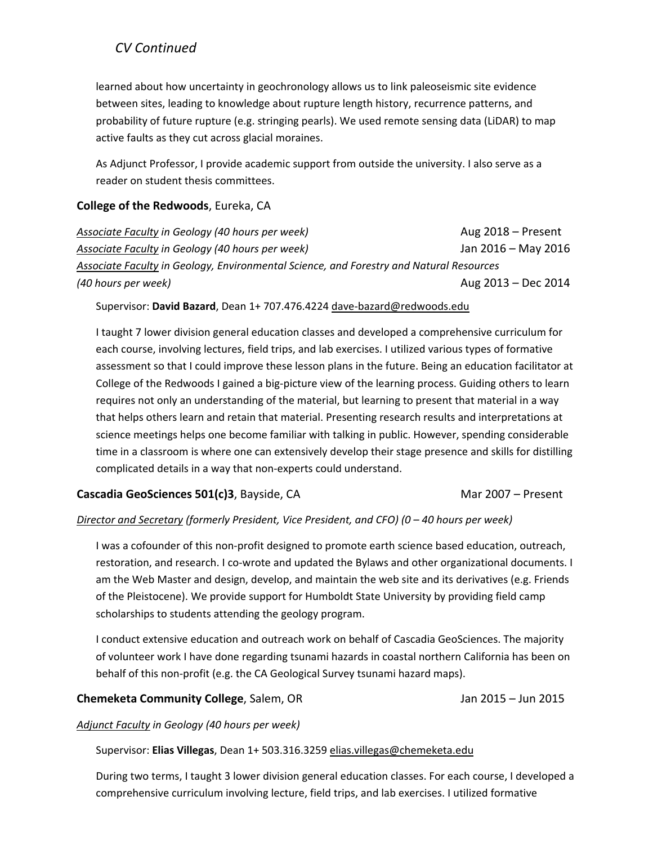learned about how uncertainty in geochronology allows us to link paleoseismic site evidence between sites, leading to knowledge about rupture length history, recurrence patterns, and probability of future rupture (e.g. stringing pearls). We used remote sensing data (LiDAR) to map active faults as they cut across glacial moraines.

As Adjunct Professor, I provide academic support from outside the university. I also serve as a reader on student thesis committees.

### **College of the Redwoods**, Eureka, CA

*Associate Faculty in Geology (40 hours per week)* Aug 2018 – Present *Associate Faculty in Geology (40 hours per week)* Jan 2016 – May 2016 *Associate Faculty in Geology, Environmental Science, and Forestry and Natural Resources (40 hours per week)* Aug 2013 – Dec 2014

Supervisor: **David Bazard**, Dean 1+ 707.476.4224 dave‐bazard@redwoods.edu

I taught 7 lower division general education classes and developed a comprehensive curriculum for each course, involving lectures, field trips, and lab exercises. I utilized various types of formative assessment so that I could improve these lesson plans in the future. Being an education facilitator at College of the Redwoods I gained a big‐picture view of the learning process. Guiding others to learn requires not only an understanding of the material, but learning to present that material in a way that helps others learn and retain that material. Presenting research results and interpretations at science meetings helps one become familiar with talking in public. However, spending considerable time in a classroom is where one can extensively develop their stage presence and skills for distilling complicated details in a way that non‐experts could understand.

### **Cascadia GeoSciences 501(c)3**, Bayside, CA Mar 2007 – Present

### *Director and Secretary (formerly President, Vice President, and CFO) (0 – 40 hours per week)*

I was a cofounder of this non‐profit designed to promote earth science based education, outreach, restoration, and research. I co-wrote and updated the Bylaws and other organizational documents. I am the Web Master and design, develop, and maintain the web site and its derivatives (e.g. Friends of the Pleistocene). We provide support for Humboldt State University by providing field camp scholarships to students attending the geology program.

I conduct extensive education and outreach work on behalf of Cascadia GeoSciences. The majority of volunteer work I have done regarding tsunami hazards in coastal northern California has been on behalf of this non-profit (e.g. the CA Geological Survey tsunami hazard maps).

## **Chemeketa Community College**, Salem, OR Jan 2015 – Jun 2015

### *Adjunct Faculty in Geology (40 hours per week)*

Supervisor: **Elias Villegas**, Dean 1+ 503.316.3259 elias.villegas@chemeketa.edu

During two terms, I taught 3 lower division general education classes. For each course, I developed a comprehensive curriculum involving lecture, field trips, and lab exercises. I utilized formative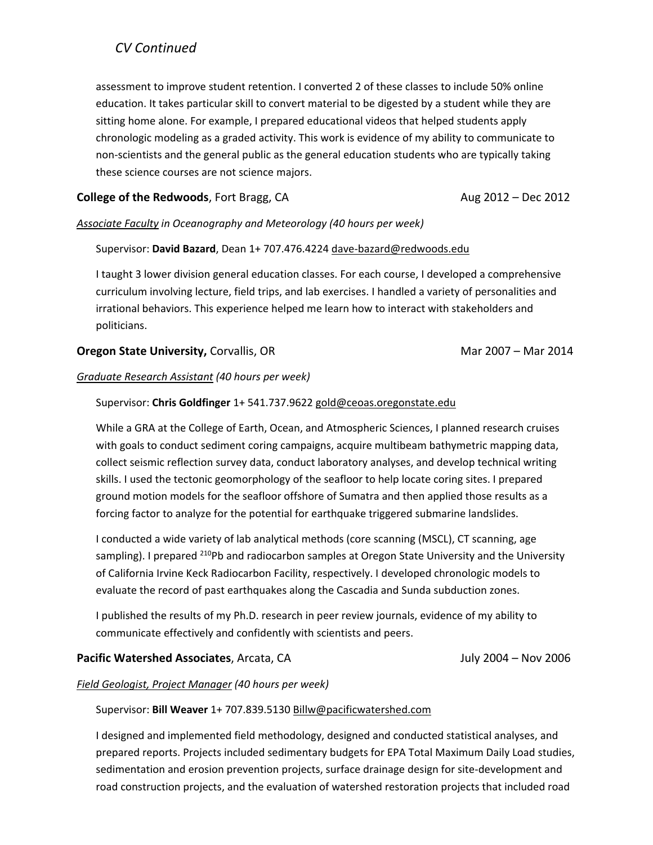assessment to improve student retention. I converted 2 of these classes to include 50% online education. It takes particular skill to convert material to be digested by a student while they are sitting home alone. For example, I prepared educational videos that helped students apply chronologic modeling as a graded activity. This work is evidence of my ability to communicate to non‐scientists and the general public as the general education students who are typically taking these science courses are not science majors.

### **College of the Redwoods**, Fort Bragg, CA Aug 2012 – Dec 2012

### *Associate Faculty in Oceanography and Meteorology (40 hours per week)*

Supervisor: **David Bazard**, Dean 1+ 707.476.4224 dave‐bazard@redwoods.edu

I taught 3 lower division general education classes. For each course, I developed a comprehensive curriculum involving lecture, field trips, and lab exercises. I handled a variety of personalities and irrational behaviors. This experience helped me learn how to interact with stakeholders and politicians.

## **Oregon State University,** Corvallis, OR Mar 2007 – Mar 2014

### *Graduate Research Assistant (40 hours per week)*

Supervisor: **Chris Goldfinger** 1+ 541.737.9622 gold@ceoas.oregonstate.edu

While a GRA at the College of Earth, Ocean, and Atmospheric Sciences, I planned research cruises with goals to conduct sediment coring campaigns, acquire multibeam bathymetric mapping data, collect seismic reflection survey data, conduct laboratory analyses, and develop technical writing skills. I used the tectonic geomorphology of the seafloor to help locate coring sites. I prepared ground motion models for the seafloor offshore of Sumatra and then applied those results as a forcing factor to analyze for the potential for earthquake triggered submarine landslides.

I conducted a wide variety of lab analytical methods (core scanning (MSCL), CT scanning, age sampling). I prepared <sup>210</sup>Pb and radiocarbon samples at Oregon State University and the University of California Irvine Keck Radiocarbon Facility, respectively. I developed chronologic models to evaluate the record of past earthquakes along the Cascadia and Sunda subduction zones.

I published the results of my Ph.D. research in peer review journals, evidence of my ability to communicate effectively and confidently with scientists and peers.

### **Pacific Watershed Associates**, Arcata, CA July 2004 – Nov 2006

### *Field Geologist, Project Manager (40 hours per week)*

#### Supervisor: **Bill Weaver** 1+ 707.839.5130 Billw@pacificwatershed.com

I designed and implemented field methodology, designed and conducted statistical analyses, and prepared reports. Projects included sedimentary budgets for EPA Total Maximum Daily Load studies, sedimentation and erosion prevention projects, surface drainage design for site-development and road construction projects, and the evaluation of watershed restoration projects that included road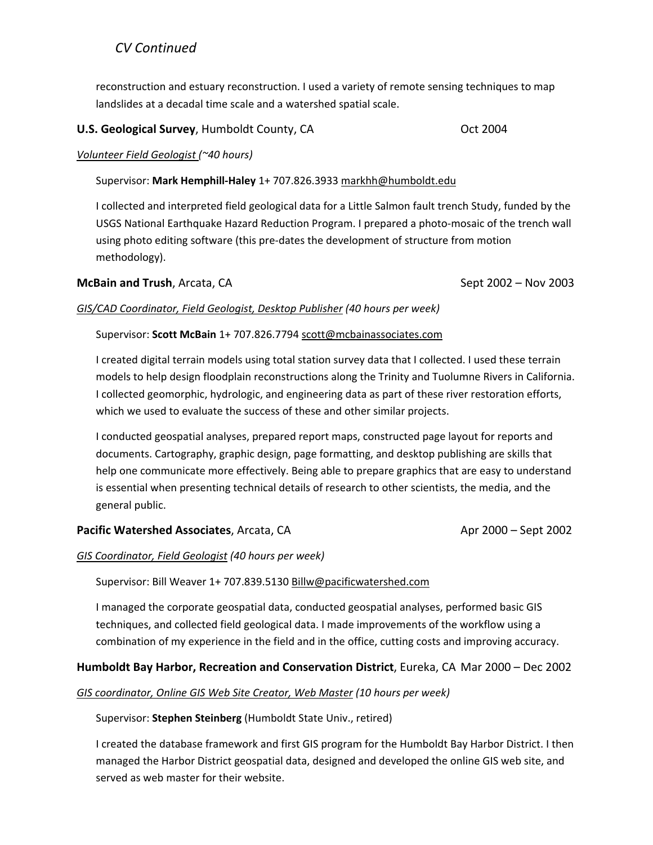reconstruction and estuary reconstruction. I used a variety of remote sensing techniques to map landslides at a decadal time scale and a watershed spatial scale.

### **U.S. Geological Survey**, Humboldt County, CA Oct 2004

*Volunteer Field Geologist (~40 hours)* 

Supervisor: **Mark Hemphill‐Haley** 1+ 707.826.3933 markhh@humboldt.edu

I collected and interpreted field geological data for a Little Salmon fault trench Study, funded by the USGS National Earthquake Hazard Reduction Program. I prepared a photo‐mosaic of the trench wall using photo editing software (this pre‐dates the development of structure from motion methodology).

#### **McBain and Trush**, Arcata, CA Sept 2002 – Nov 2003

### *GIS/CAD Coordinator, Field Geologist, Desktop Publisher (40 hours per week)*

Supervisor: **Scott McBain** 1+ 707.826.7794 scott@mcbainassociates.com

I created digital terrain models using total station survey data that I collected. I used these terrain models to help design floodplain reconstructions along the Trinity and Tuolumne Rivers in California. I collected geomorphic, hydrologic, and engineering data as part of these river restoration efforts, which we used to evaluate the success of these and other similar projects.

I conducted geospatial analyses, prepared report maps, constructed page layout for reports and documents. Cartography, graphic design, page formatting, and desktop publishing are skills that help one communicate more effectively. Being able to prepare graphics that are easy to understand is essential when presenting technical details of research to other scientists, the media, and the general public.

### **Pacific Watershed Associates**, Arcata, CA Apr 2000 – Sept 2002

### *GIS Coordinator, Field Geologist (40 hours per week)*

Supervisor: Bill Weaver 1+ 707.839.5130 Billw@pacificwatershed.com

I managed the corporate geospatial data, conducted geospatial analyses, performed basic GIS techniques, and collected field geological data. I made improvements of the workflow using a combination of my experience in the field and in the office, cutting costs and improving accuracy.

### **Humboldt Bay Harbor, Recreation and Conservation District**, Eureka, CA Mar 2000 – Dec 2002

### *GIS coordinator, Online GIS Web Site Creator, Web Master (10 hours per week)*

Supervisor: **Stephen Steinberg** (Humboldt State Univ., retired)

I created the database framework and first GIS program for the Humboldt Bay Harbor District. I then managed the Harbor District geospatial data, designed and developed the online GIS web site, and served as web master for their website.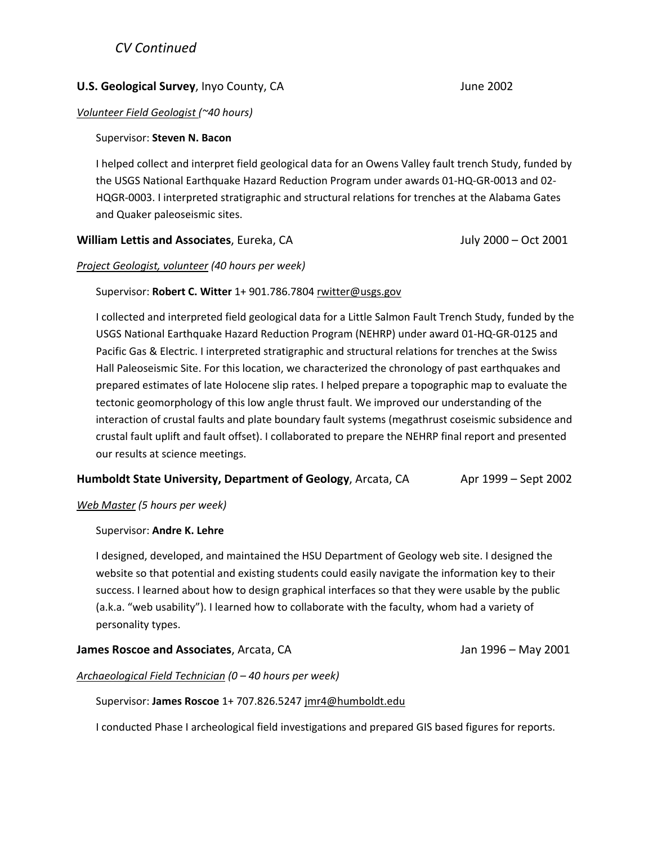### **U.S. Geological Survey**, Inyo County, CA June 2002

*Volunteer Field Geologist (~40 hours)* 

#### Supervisor: **Steven N. Bacon**

I helped collect and interpret field geological data for an Owens Valley fault trench Study, funded by the USGS National Earthquake Hazard Reduction Program under awards 01‐HQ‐GR‐0013 and 02‐ HQGR‐0003. I interpreted stratigraphic and structural relations for trenches at the Alabama Gates and Quaker paleoseismic sites.

### **William Lettis and Associates**, Eureka, CA July 2000 – Oct 2001

### *Project Geologist, volunteer (40 hours per week)*

#### Supervisor: **Robert C. Witter** 1+ 901.786.7804 rwitter@usgs.gov

I collected and interpreted field geological data for a Little Salmon Fault Trench Study, funded by the USGS National Earthquake Hazard Reduction Program (NEHRP) under award 01‐HQ‐GR‐0125 and Pacific Gas & Electric. I interpreted stratigraphic and structural relations for trenches at the Swiss Hall Paleoseismic Site. For this location, we characterized the chronology of past earthquakes and prepared estimates of late Holocene slip rates. I helped prepare a topographic map to evaluate the tectonic geomorphology of this low angle thrust fault. We improved our understanding of the interaction of crustal faults and plate boundary fault systems (megathrust coseismic subsidence and crustal fault uplift and fault offset). I collaborated to prepare the NEHRP final report and presented our results at science meetings.

## **Humboldt State University, Department of Geology**, Arcata, CA Apr 1999 – Sept 2002

### *Web Master (5 hours per week)*

### Supervisor: **Andre K. Lehre**

I designed, developed, and maintained the HSU Department of Geology web site. I designed the website so that potential and existing students could easily navigate the information key to their success. I learned about how to design graphical interfaces so that they were usable by the public (a.k.a. "web usability"). I learned how to collaborate with the faculty, whom had a variety of personality types.

### **James Roscoe and Associates**, Arcata, CA Jan 1996 – May 2001

#### *Archaeological Field Technician (0 – 40 hours per week)*

#### Supervisor: **James Roscoe** 1+ 707.826.5247 jmr4@humboldt.edu

I conducted Phase I archeological field investigations and prepared GIS based figures for reports.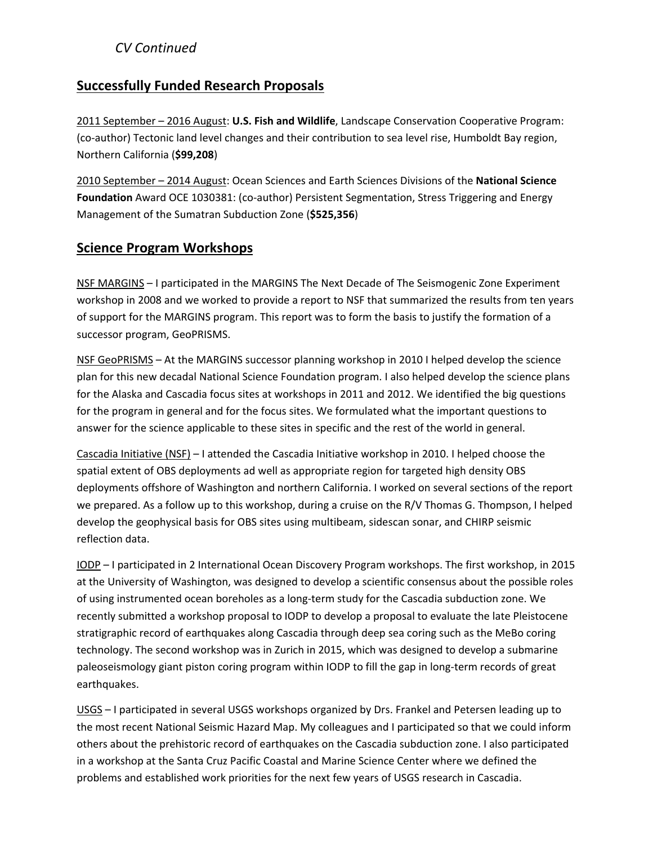## **Successfully Funded Research Proposals**

2011 September – 2016 August: **U.S. Fish and Wildlife**, Landscape Conservation Cooperative Program: (co‐author) Tectonic land level changes and their contribution to sea level rise, Humboldt Bay region, Northern California (**\$99,208**)

2010 September – 2014 August: Ocean Sciences and Earth Sciences Divisions of the **National Science**  Foundation Award OCE 1030381: (co-author) Persistent Segmentation, Stress Triggering and Energy Management of the Sumatran Subduction Zone (**\$525,356**)

## **Science Program Workshops**

NSF MARGINS – I participated in the MARGINS The Next Decade of The Seismogenic Zone Experiment workshop in 2008 and we worked to provide a report to NSF that summarized the results from ten years of support for the MARGINS program. This report was to form the basis to justify the formation of a successor program, GeoPRISMS.

NSF GeoPRISMS – At the MARGINS successor planning workshop in 2010 I helped develop the science plan for this new decadal National Science Foundation program. I also helped develop the science plans for the Alaska and Cascadia focus sites at workshops in 2011 and 2012. We identified the big questions for the program in general and for the focus sites. We formulated what the important questions to answer for the science applicable to these sites in specific and the rest of the world in general.

Cascadia Initiative (NSF) – I attended the Cascadia Initiative workshop in 2010. I helped choose the spatial extent of OBS deployments ad well as appropriate region for targeted high density OBS deployments offshore of Washington and northern California. I worked on several sections of the report we prepared. As a follow up to this workshop, during a cruise on the R/V Thomas G. Thompson, I helped develop the geophysical basis for OBS sites using multibeam, sidescan sonar, and CHIRP seismic reflection data.

IODP – I participated in 2 International Ocean Discovery Program workshops. The first workshop, in 2015 at the University of Washington, was designed to develop a scientific consensus about the possible roles of using instrumented ocean boreholes as a long‐term study for the Cascadia subduction zone. We recently submitted a workshop proposal to IODP to develop a proposal to evaluate the late Pleistocene stratigraphic record of earthquakes along Cascadia through deep sea coring such as the MeBo coring technology. The second workshop was in Zurich in 2015, which was designed to develop a submarine paleoseismology giant piston coring program within IODP to fill the gap in long-term records of great earthquakes.

USGS - I participated in several USGS workshops organized by Drs. Frankel and Petersen leading up to the most recent National Seismic Hazard Map. My colleagues and I participated so that we could inform others about the prehistoric record of earthquakes on the Cascadia subduction zone. I also participated in a workshop at the Santa Cruz Pacific Coastal and Marine Science Center where we defined the problems and established work priorities for the next few years of USGS research in Cascadia.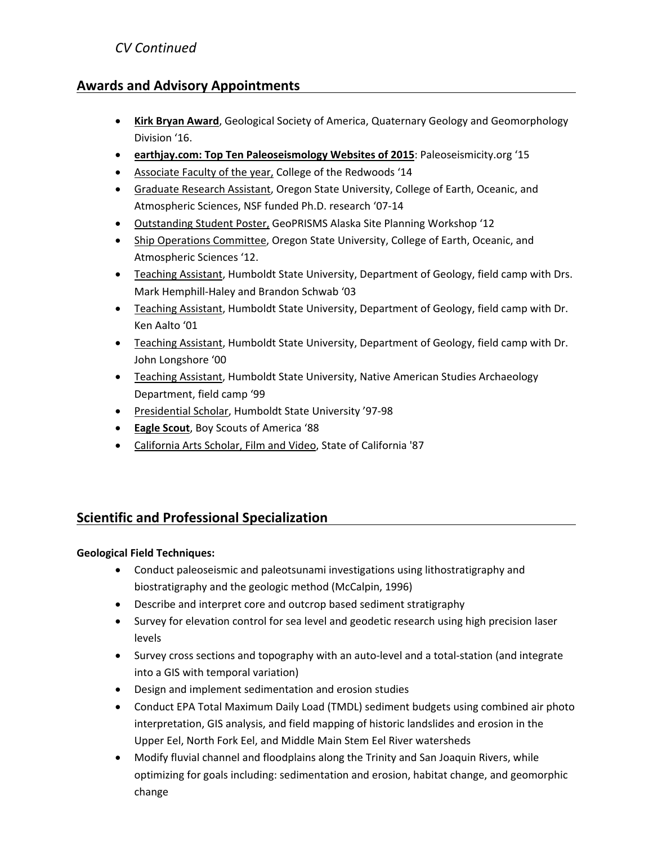## **Awards and Advisory Appointments**

- **Kirk Bryan Award**, Geological Society of America, Quaternary Geology and Geomorphology Division '16.
- **earthjay.com: Top Ten Paleoseismology Websites of 2015**: Paleoseismicity.org '15
- Associate Faculty of the year, College of the Redwoods '14
- Graduate Research Assistant, Oregon State University, College of Earth, Oceanic, and Atmospheric Sciences, NSF funded Ph.D. research '07‐14
- Outstanding Student Poster, GeoPRISMS Alaska Site Planning Workshop '12
- Ship Operations Committee, Oregon State University, College of Earth, Oceanic, and Atmospheric Sciences '12.
- **Teaching Assistant, Humboldt State University, Department of Geology, field camp with Drs.** Mark Hemphill‐Haley and Brandon Schwab '03
- Teaching Assistant, Humboldt State University, Department of Geology, field camp with Dr. Ken Aalto '01
- Teaching Assistant, Humboldt State University, Department of Geology, field camp with Dr. John Longshore '00
- Teaching Assistant, Humboldt State University, Native American Studies Archaeology Department, field camp '99
- Presidential Scholar, Humboldt State University '97-98
- **Eagle Scout**, Boy Scouts of America '88
- California Arts Scholar, Film and Video, State of California '87

## **Scientific and Professional Specialization**

## **Geological Field Techniques:**

- Conduct paleoseismic and paleotsunami investigations using lithostratigraphy and biostratigraphy and the geologic method (McCalpin, 1996)
- Describe and interpret core and outcrop based sediment stratigraphy
- Survey for elevation control for sea level and geodetic research using high precision laser levels
- Survey cross sections and topography with an auto-level and a total-station (and integrate into a GIS with temporal variation)
- Design and implement sedimentation and erosion studies
- Conduct EPA Total Maximum Daily Load (TMDL) sediment budgets using combined air photo interpretation, GIS analysis, and field mapping of historic landslides and erosion in the Upper Eel, North Fork Eel, and Middle Main Stem Eel River watersheds
- Modify fluvial channel and floodplains along the Trinity and San Joaquin Rivers, while optimizing for goals including: sedimentation and erosion, habitat change, and geomorphic change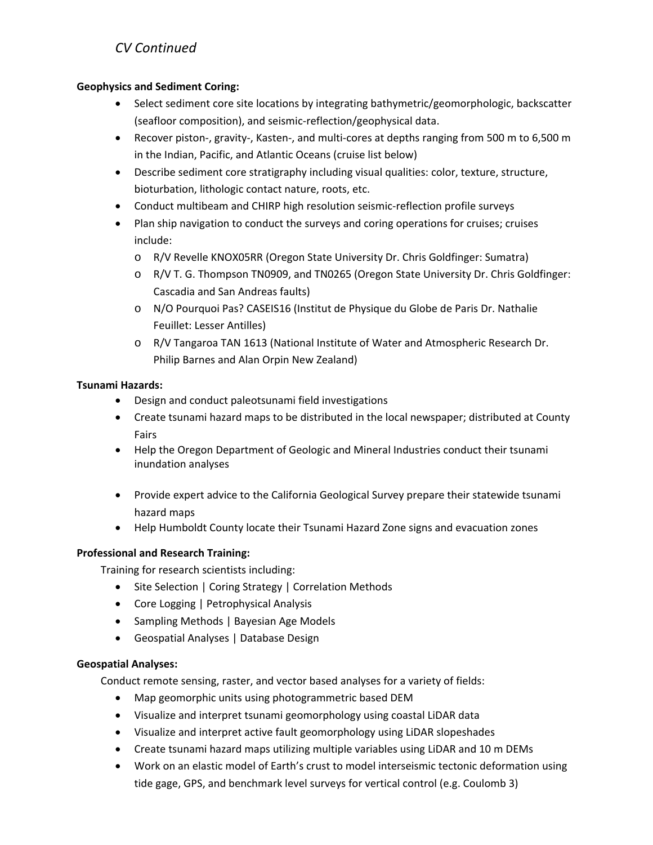### **Geophysics and Sediment Coring:**

- Select sediment core site locations by integrating bathymetric/geomorphologic, backscatter (seafloor composition), and seismic‐reflection/geophysical data.
- Recover piston‐, gravity‐, Kasten‐, and multi‐cores at depths ranging from 500 m to 6,500 m in the Indian, Pacific, and Atlantic Oceans (cruise list below)
- Describe sediment core stratigraphy including visual qualities: color, texture, structure, bioturbation, lithologic contact nature, roots, etc.
- Conduct multibeam and CHIRP high resolution seismic-reflection profile surveys
- Plan ship navigation to conduct the surveys and coring operations for cruises; cruises include:
	- o R/V Revelle KNOX05RR (Oregon State University Dr. Chris Goldfinger: Sumatra)
	- o R/V T. G. Thompson TN0909, and TN0265 (Oregon State University Dr. Chris Goldfinger: Cascadia and San Andreas faults)
	- o N/O Pourquoi Pas? CASEIS16 (Institut de Physique du Globe de Paris Dr. Nathalie Feuillet: Lesser Antilles)
	- o R/V Tangaroa TAN 1613 (National Institute of Water and Atmospheric Research Dr. Philip Barnes and Alan Orpin New Zealand)

### **Tsunami Hazards:**

- Design and conduct paleotsunami field investigations
- Create tsunami hazard maps to be distributed in the local newspaper; distributed at County Fairs
- Help the Oregon Department of Geologic and Mineral Industries conduct their tsunami inundation analyses
- Provide expert advice to the California Geological Survey prepare their statewide tsunami hazard maps
- Help Humboldt County locate their Tsunami Hazard Zone signs and evacuation zones

## **Professional and Research Training:**

Training for research scientists including:

- Site Selection | Coring Strategy | Correlation Methods
- Core Logging | Petrophysical Analysis
- Sampling Methods | Bayesian Age Models
- Geospatial Analyses | Database Design

## **Geospatial Analyses:**

Conduct remote sensing, raster, and vector based analyses for a variety of fields:

- Map geomorphic units using photogrammetric based DEM
- Visualize and interpret tsunami geomorphology using coastal LiDAR data
- Visualize and interpret active fault geomorphology using LiDAR slopeshades
- Create tsunami hazard maps utilizing multiple variables using LiDAR and 10 m DEMs
- Work on an elastic model of Earth's crust to model interseismic tectonic deformation using tide gage, GPS, and benchmark level surveys for vertical control (e.g. Coulomb 3)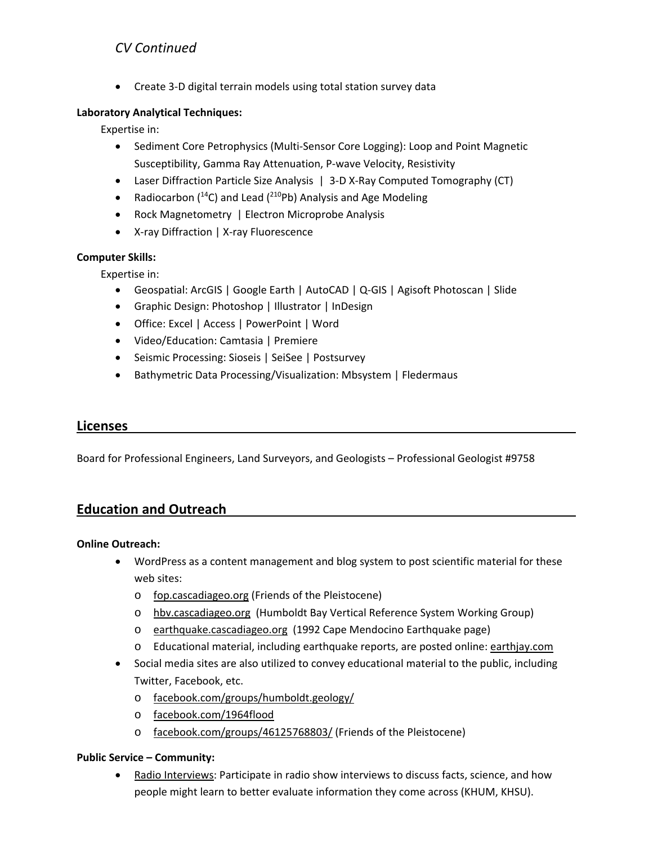● Create 3-D digital terrain models using total station survey data

### **Laboratory Analytical Techniques:**

Expertise in:

- Sediment Core Petrophysics (Multi-Sensor Core Logging): Loop and Point Magnetic Susceptibility, Gamma Ray Attenuation, P‐wave Velocity, Resistivity
- Laser Diffraction Particle Size Analysis | 3‐D X‐Ray Computed Tomography (CT)
- Radiocarbon ( $^{14}$ C) and Lead ( $^{210}$ Pb) Analysis and Age Modeling
- Rock Magnetometry | Electron Microprobe Analysis
- X‐ray Diffraction | X‐ray Fluorescence

### **Computer Skills:**

Expertise in:

- Geospatial: ArcGIS | Google Earth | AutoCAD | Q-GIS | Agisoft Photoscan | Slide
- Graphic Design: Photoshop | Illustrator | InDesign
- Office: Excel | Access | PowerPoint | Word
- Video/Education: Camtasia | Premiere
- Seismic Processing: Sioseis | SeiSee | Postsurvey
- Bathymetric Data Processing/Visualization: Mbsystem | Fledermaus

## **Licenses**

Board for Professional Engineers, Land Surveyors, and Geologists – Professional Geologist #9758

## **Education and Outreach**

### **Online Outreach:**

- WordPress as a content management and blog system to post scientific material for these web sites:
	- o fop.cascadiageo.org (Friends of the Pleistocene)
	- o hbv.cascadiageo.org (Humboldt Bay Vertical Reference System Working Group)
	- o earthquake.cascadiageo.org (1992 Cape Mendocino Earthquake page)
	- o Educational material, including earthquake reports, are posted online: earthjay.com
- Social media sites are also utilized to convey educational material to the public, including Twitter, Facebook, etc.
	- o facebook.com/groups/humboldt.geology/
	- o facebook.com/1964flood
	- o facebook.com/groups/46125768803/ (Friends of the Pleistocene)

### **Public Service – Community:**

• Radio Interviews: Participate in radio show interviews to discuss facts, science, and how people might learn to better evaluate information they come across (KHUM, KHSU).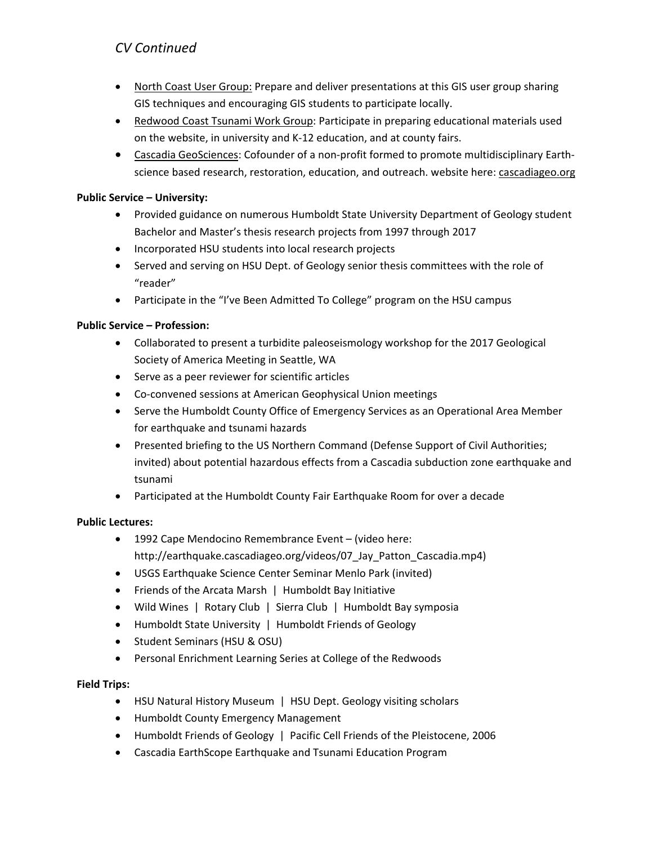- North Coast User Group: Prepare and deliver presentations at this GIS user group sharing GIS techniques and encouraging GIS students to participate locally.
- Redwood Coast Tsunami Work Group: Participate in preparing educational materials used on the website, in university and K‐12 education, and at county fairs.
- Cascadia GeoSciences: Cofounder of a non-profit formed to promote multidisciplinary Earthscience based research, restoration, education, and outreach. website here: cascadiageo.org

### **Public Service – University:**

- Provided guidance on numerous Humboldt State University Department of Geology student Bachelor and Master's thesis research projects from 1997 through 2017
- Incorporated HSU students into local research projects
- Served and serving on HSU Dept. of Geology senior thesis committees with the role of "reader"
- Participate in the "I've Been Admitted To College" program on the HSU campus

## **Public Service – Profession:**

- Collaborated to present a turbidite paleoseismology workshop for the 2017 Geological Society of America Meeting in Seattle, WA
- Serve as a peer reviewer for scientific articles
- Co-convened sessions at American Geophysical Union meetings
- Serve the Humboldt County Office of Emergency Services as an Operational Area Member for earthquake and tsunami hazards
- Presented briefing to the US Northern Command (Defense Support of Civil Authorities; invited) about potential hazardous effects from a Cascadia subduction zone earthquake and tsunami
- Participated at the Humboldt County Fair Earthquake Room for over a decade

## **Public Lectures:**

- 1992 Cape Mendocino Remembrance Event (video here: http://earthquake.cascadiageo.org/videos/07 Jay Patton Cascadia.mp4)
- USGS Earthquake Science Center Seminar Menlo Park (invited)
- Friends of the Arcata Marsh | Humboldt Bay Initiative
- Wild Wines | Rotary Club | Sierra Club | Humboldt Bay symposia
- Humboldt State University | Humboldt Friends of Geology
- Student Seminars (HSU & OSU)
- Personal Enrichment Learning Series at College of the Redwoods

## **Field Trips:**

- HSU Natural History Museum | HSU Dept. Geology visiting scholars
- Humboldt County Emergency Management
- Humboldt Friends of Geology | Pacific Cell Friends of the Pleistocene, 2006
- Cascadia EarthScope Earthquake and Tsunami Education Program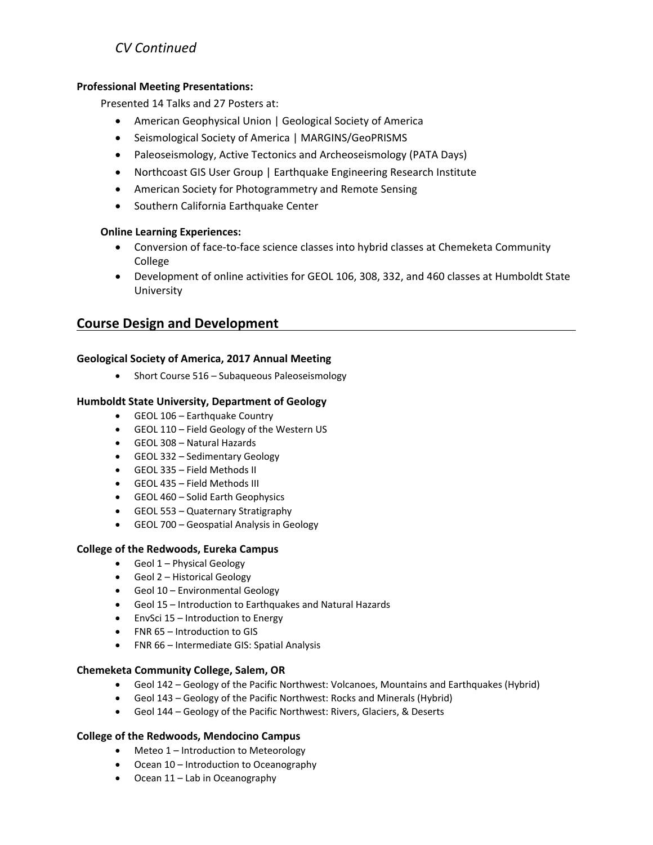### **Professional Meeting Presentations:**

Presented 14 Talks and 27 Posters at:

- American Geophysical Union | Geological Society of America
- Seismological Society of America | MARGINS/GeoPRISMS
- Paleoseismology, Active Tectonics and Archeoseismology (PATA Days)
- Northcoast GIS User Group | Earthquake Engineering Research Institute
- American Society for Photogrammetry and Remote Sensing
- Southern California Earthquake Center

### **Online Learning Experiences:**

- Conversion of face-to-face science classes into hybrid classes at Chemeketa Community College
- Development of online activities for GEOL 106, 308, 332, and 460 classes at Humboldt State University

## **Course Design and Development**

### **Geological Society of America, 2017 Annual Meeting**

• Short Course 516 – Subaqueous Paleoseismology

### **Humboldt State University, Department of Geology**

- GEOL 106 Earthquake Country
- GEOL 110 Field Geology of the Western US
- GEOL 308 Natural Hazards
- GEOL 332 Sedimentary Geology
- GEOL 335 Field Methods II
- GEOL 435 Field Methods III
- GEOL 460 Solid Earth Geophysics
- GEOL 553 Quaternary Stratigraphy
- GEOL 700 Geospatial Analysis in Geology

### **College of the Redwoods, Eureka Campus**

- Geol 1 Physical Geology
- Geol 2 Historical Geology
- Geol 10 Environmental Geology
- Geol 15 Introduction to Earthquakes and Natural Hazards
- EnvSci 15 Introduction to Energy
- FNR 65 Introduction to GIS
- FNR 66 Intermediate GIS: Spatial Analysis

### **Chemeketa Community College, Salem, OR**

- Geol 142 Geology of the Pacific Northwest: Volcanoes, Mountains and Earthquakes (Hybrid)
- Geol 143 Geology of the Pacific Northwest: Rocks and Minerals (Hybrid)
- Geol 144 Geology of the Pacific Northwest: Rivers, Glaciers, & Deserts

### **College of the Redwoods, Mendocino Campus**

- Meteo 1 Introduction to Meteorology
- Ocean 10 Introduction to Oceanography
- Ocean 11 Lab in Oceanography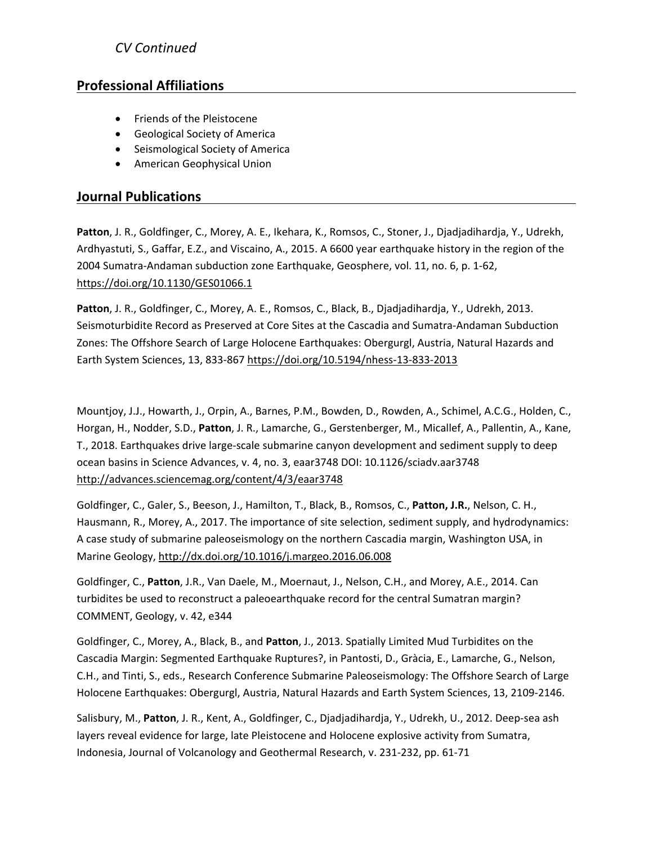## **Professional Affiliations**

- **•** Friends of the Pleistocene
- Geological Society of America
- Seismological Society of America
- American Geophysical Union

## **Journal Publications**

**Patton**, J. R., Goldfinger, C., Morey, A. E., Ikehara, K., Romsos, C., Stoner, J., Djadjadihardja, Y., Udrekh, Ardhyastuti, S., Gaffar, E.Z., and Viscaino, A., 2015. A 6600 year earthquake history in the region of the 2004 Sumatra‐Andaman subduction zone Earthquake, Geosphere, vol. 11, no. 6, p. 1‐62, https://doi.org/10.1130/GES01066.1

**Patton**, J. R., Goldfinger, C., Morey, A. E., Romsos, C., Black, B., Djadjadihardja, Y., Udrekh, 2013. Seismoturbidite Record as Preserved at Core Sites at the Cascadia and Sumatra‐Andaman Subduction Zones: The Offshore Search of Large Holocene Earthquakes: Obergurgl, Austria, Natural Hazards and Earth System Sciences, 13, 833‐867 https://doi.org/10.5194/nhess‐13‐833‐2013

Mountjoy, J.J., Howarth, J., Orpin, A., Barnes, P.M., Bowden, D., Rowden, A., Schimel, A.C.G., Holden, C., Horgan, H., Nodder, S.D., **Patton**, J. R., Lamarche, G., Gerstenberger, M., Micallef, A., Pallentin, A., Kane, T., 2018. Earthquakes drive large‐scale submarine canyon development and sediment supply to deep ocean basins in Science Advances, v. 4, no. 3, eaar3748 DOI: 10.1126/sciadv.aar3748 http://advances.sciencemag.org/content/4/3/eaar3748

Goldfinger, C., Galer, S., Beeson, J., Hamilton, T., Black, B., Romsos, C., **Patton, J.R.**, Nelson, C. H., Hausmann, R., Morey, A., 2017. The importance of site selection, sediment supply, and hydrodynamics: A case study of submarine paleoseismology on the northern Cascadia margin, Washington USA, in Marine Geology, http://dx.doi.org/10.1016/j.margeo.2016.06.008

Goldfinger, C., **Patton**, J.R., Van Daele, M., Moernaut, J., Nelson, C.H., and Morey, A.E., 2014. Can turbidites be used to reconstruct a paleoearthquake record for the central Sumatran margin? COMMENT, Geology, v. 42, e344

Goldfinger, C., Morey, A., Black, B., and **Patton**, J., 2013. Spatially Limited Mud Turbidites on the Cascadia Margin: Segmented Earthquake Ruptures?, in Pantosti, D., Gràcia, E., Lamarche, G., Nelson, C.H., and Tinti, S., eds., Research Conference Submarine Paleoseismology: The Offshore Search of Large Holocene Earthquakes: Obergurgl, Austria, Natural Hazards and Earth System Sciences, 13, 2109‐2146.

Salisbury, M., **Patton**, J. R., Kent, A., Goldfinger, C., Djadjadihardja, Y., Udrekh, U., 2012. Deep‐sea ash layers reveal evidence for large, late Pleistocene and Holocene explosive activity from Sumatra, Indonesia, Journal of Volcanology and Geothermal Research, v. 231‐232, pp. 61‐71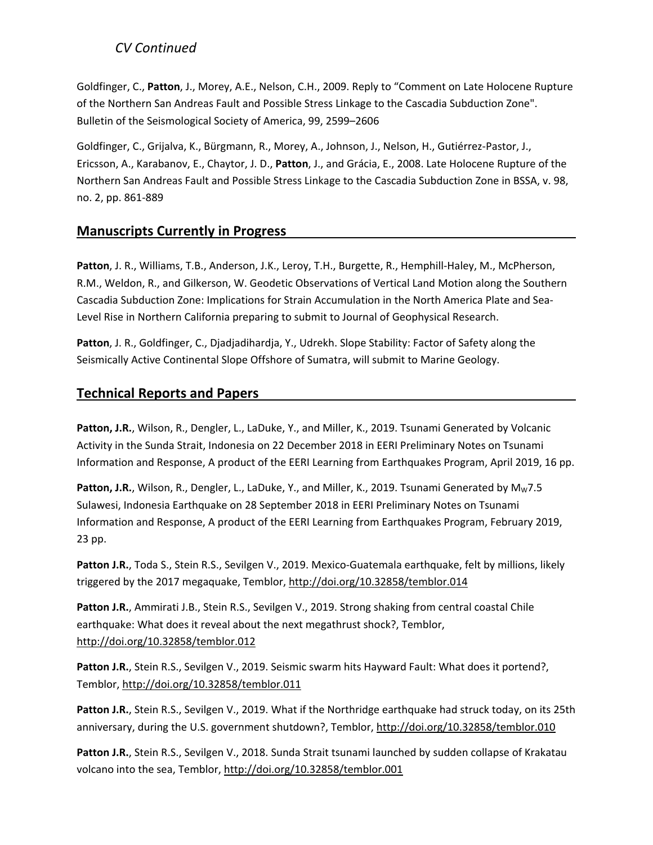Goldfinger, C., **Patton**, J., Morey, A.E., Nelson, C.H., 2009. Reply to "Comment on Late Holocene Rupture of the Northern San Andreas Fault and Possible Stress Linkage to the Cascadia Subduction Zone". Bulletin of the Seismological Society of America, 99, 2599–2606

Goldfinger, C., Grijalva, K., Bürgmann, R., Morey, A., Johnson, J., Nelson, H., Gutiérrez‐Pastor, J., Ericsson, A., Karabanov, E., Chaytor, J. D., **Patton**, J., and Grácia, E., 2008. Late Holocene Rupture of the Northern San Andreas Fault and Possible Stress Linkage to the Cascadia Subduction Zone in BSSA, v. 98, no. 2, pp. 861‐889

## **Manuscripts Currently in Progress**

**Patton**, J. R., Williams, T.B., Anderson, J.K., Leroy, T.H., Burgette, R., Hemphill‐Haley, M., McPherson, R.M., Weldon, R., and Gilkerson, W. Geodetic Observations of Vertical Land Motion along the Southern Cascadia Subduction Zone: Implications for Strain Accumulation in the North America Plate and Sea‐ Level Rise in Northern California preparing to submit to Journal of Geophysical Research.

**Patton**, J. R., Goldfinger, C., Djadjadihardja, Y., Udrekh. Slope Stability: Factor of Safety along the Seismically Active Continental Slope Offshore of Sumatra, will submit to Marine Geology.

## **Technical Reports and Papers**

**Patton, J.R.**, Wilson, R., Dengler, L., LaDuke, Y., and Miller, K., 2019. Tsunami Generated by Volcanic Activity in the Sunda Strait, Indonesia on 22 December 2018 in EERI Preliminary Notes on Tsunami Information and Response, A product of the EERI Learning from Earthquakes Program, April 2019, 16 pp.

Patton, J.R., Wilson, R., Dengler, L., LaDuke, Y., and Miller, K., 2019. Tsunami Generated by M<sub>W</sub>7.5 Sulawesi, Indonesia Earthquake on 28 September 2018 in EERI Preliminary Notes on Tsunami Information and Response, A product of the EERI Learning from Earthquakes Program, February 2019, 23 pp.

Patton J.R., Toda S., Stein R.S., Sevilgen V., 2019. Mexico-Guatemala earthquake, felt by millions, likely triggered by the 2017 megaquake, Temblor, http://doi.org/10.32858/temblor.014

**Patton J.R.**, Ammirati J.B., Stein R.S., Sevilgen V., 2019. Strong shaking from central coastal Chile earthquake: What does it reveal about the next megathrust shock?, Temblor, http://doi.org/10.32858/temblor.012

**Patton J.R.**, Stein R.S., Sevilgen V., 2019. Seismic swarm hits Hayward Fault: What does it portend?, Temblor, http://doi.org/10.32858/temblor.011

**Patton J.R.**, Stein R.S., Sevilgen V., 2019. What if the Northridge earthquake had struck today, on its 25th anniversary, during the U.S. government shutdown?, Temblor, http://doi.org/10.32858/temblor.010

**Patton J.R.**, Stein R.S., Sevilgen V., 2018. Sunda Strait tsunami launched by sudden collapse of Krakatau volcano into the sea, Temblor, http://doi.org/10.32858/temblor.001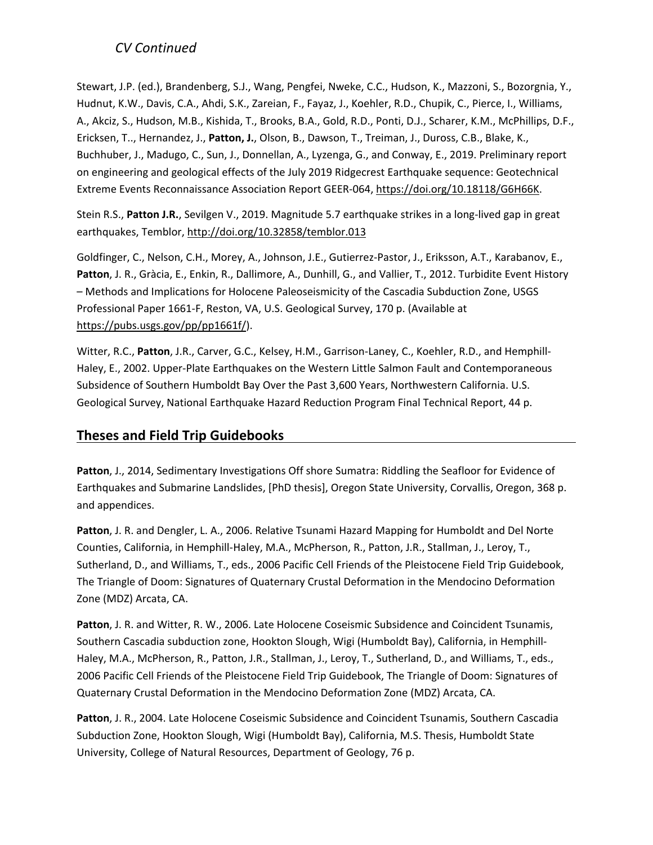Stewart, J.P. (ed.), Brandenberg, S.J., Wang, Pengfei, Nweke, C.C., Hudson, K., Mazzoni, S., Bozorgnia, Y., Hudnut, K.W., Davis, C.A., Ahdi, S.K., Zareian, F., Fayaz, J., Koehler, R.D., Chupik, C., Pierce, I., Williams, A., Akciz, S., Hudson, M.B., Kishida, T., Brooks, B.A., Gold, R.D., Ponti, D.J., Scharer, K.M., McPhillips, D.F., Ericksen, T.., Hernandez, J., **Patton, J.**, Olson, B., Dawson, T., Treiman, J., Duross, C.B., Blake, K., Buchhuber, J., Madugo, C., Sun, J., Donnellan, A., Lyzenga, G., and Conway, E., 2019. Preliminary report on engineering and geological effects of the July 2019 Ridgecrest Earthquake sequence: Geotechnical Extreme Events Reconnaissance Association Report GEER‐064, https://doi.org/10.18118/G6H66K.

Stein R.S., Patton J.R., Sevilgen V., 2019. Magnitude 5.7 earthquake strikes in a long-lived gap in great earthquakes, Temblor, http://doi.org/10.32858/temblor.013

Goldfinger, C., Nelson, C.H., Morey, A., Johnson, J.E., Gutierrez‐Pastor, J., Eriksson, A.T., Karabanov, E., **Patton**, J. R., Gràcia, E., Enkin, R., Dallimore, A., Dunhill, G., and Vallier, T., 2012. Turbidite Event History – Methods and Implications for Holocene Paleoseismicity of the Cascadia Subduction Zone, USGS Professional Paper 1661‐F, Reston, VA, U.S. Geological Survey, 170 p. (Available at https://pubs.usgs.gov/pp/pp1661f/).

Witter, R.C., Patton, J.R., Carver, G.C., Kelsey, H.M., Garrison-Laney, C., Koehler, R.D., and Hemphill-Haley, E., 2002. Upper‐Plate Earthquakes on the Western Little Salmon Fault and Contemporaneous Subsidence of Southern Humboldt Bay Over the Past 3,600 Years, Northwestern California. U.S. Geological Survey, National Earthquake Hazard Reduction Program Final Technical Report, 44 p.

## **Theses and Field Trip Guidebooks**

**Patton**, J., 2014, Sedimentary Investigations Off shore Sumatra: Riddling the Seafloor for Evidence of Earthquakes and Submarine Landslides, [PhD thesis], Oregon State University, Corvallis, Oregon, 368 p. and appendices.

**Patton**, J. R. and Dengler, L. A., 2006. Relative Tsunami Hazard Mapping for Humboldt and Del Norte Counties, California, in Hemphill‐Haley, M.A., McPherson, R., Patton, J.R., Stallman, J., Leroy, T., Sutherland, D., and Williams, T., eds., 2006 Pacific Cell Friends of the Pleistocene Field Trip Guidebook, The Triangle of Doom: Signatures of Quaternary Crustal Deformation in the Mendocino Deformation Zone (MDZ) Arcata, CA.

**Patton**, J. R. and Witter, R. W., 2006. Late Holocene Coseismic Subsidence and Coincident Tsunamis, Southern Cascadia subduction zone, Hookton Slough, Wigi (Humboldt Bay), California, in Hemphill‐ Haley, M.A., McPherson, R., Patton, J.R., Stallman, J., Leroy, T., Sutherland, D., and Williams, T., eds., 2006 Pacific Cell Friends of the Pleistocene Field Trip Guidebook, The Triangle of Doom: Signatures of Quaternary Crustal Deformation in the Mendocino Deformation Zone (MDZ) Arcata, CA.

**Patton**, J. R., 2004. Late Holocene Coseismic Subsidence and Coincident Tsunamis, Southern Cascadia Subduction Zone, Hookton Slough, Wigi (Humboldt Bay), California, M.S. Thesis, Humboldt State University, College of Natural Resources, Department of Geology, 76 p.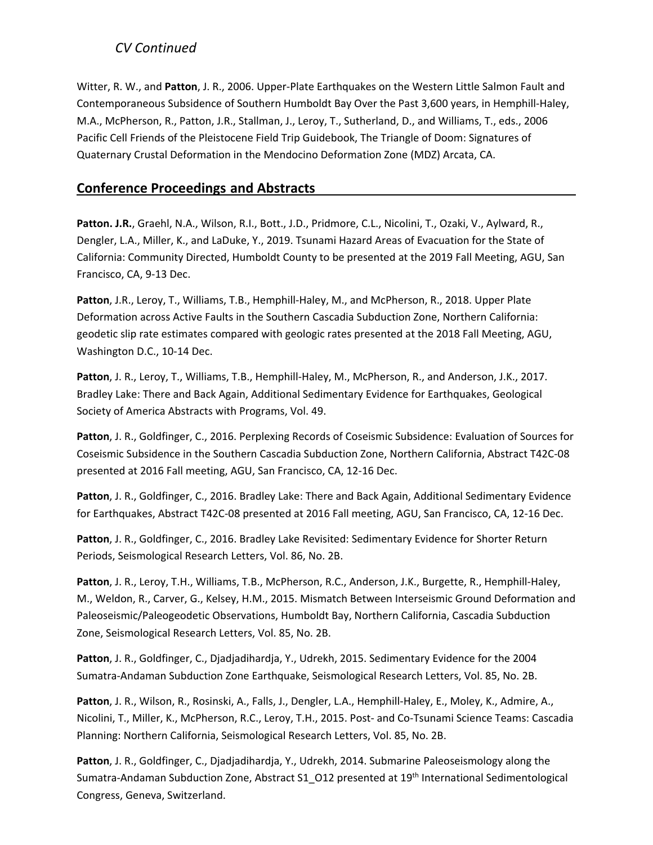Witter, R. W., and **Patton**, J. R., 2006. Upper‐Plate Earthquakes on the Western Little Salmon Fault and Contemporaneous Subsidence of Southern Humboldt Bay Over the Past 3,600 years, in Hemphill‐Haley, M.A., McPherson, R., Patton, J.R., Stallman, J., Leroy, T., Sutherland, D., and Williams, T., eds., 2006 Pacific Cell Friends of the Pleistocene Field Trip Guidebook, The Triangle of Doom: Signatures of Quaternary Crustal Deformation in the Mendocino Deformation Zone (MDZ) Arcata, CA.

## **Conference Proceedings and Abstracts**

**Patton. J.R.**, Graehl, N.A., Wilson, R.I., Bott., J.D., Pridmore, C.L., Nicolini, T., Ozaki, V., Aylward, R., Dengler, L.A., Miller, K., and LaDuke, Y., 2019. Tsunami Hazard Areas of Evacuation for the State of California: Community Directed, Humboldt County to be presented at the 2019 Fall Meeting, AGU, San Francisco, CA, 9‐13 Dec.

**Patton**, J.R., Leroy, T., Williams, T.B., Hemphill‐Haley, M., and McPherson, R., 2018. Upper Plate Deformation across Active Faults in the Southern Cascadia Subduction Zone, Northern California: geodetic slip rate estimates compared with geologic rates presented at the 2018 Fall Meeting, AGU, Washington D.C., 10‐14 Dec.

**Patton**, J. R., Leroy, T., Williams, T.B., Hemphill‐Haley, M., McPherson, R., and Anderson, J.K., 2017. Bradley Lake: There and Back Again, Additional Sedimentary Evidence for Earthquakes, Geological Society of America Abstracts with Programs, Vol. 49.

**Patton**, J. R., Goldfinger, C., 2016. Perplexing Records of Coseismic Subsidence: Evaluation of Sources for Coseismic Subsidence in the Southern Cascadia Subduction Zone, Northern California, Abstract T42C‐08 presented at 2016 Fall meeting, AGU, San Francisco, CA, 12‐16 Dec.

**Patton**, J. R., Goldfinger, C., 2016. Bradley Lake: There and Back Again, Additional Sedimentary Evidence for Earthquakes, Abstract T42C‐08 presented at 2016 Fall meeting, AGU, San Francisco, CA, 12‐16 Dec.

**Patton**, J. R., Goldfinger, C., 2016. Bradley Lake Revisited: Sedimentary Evidence for Shorter Return Periods, Seismological Research Letters, Vol. 86, No. 2B.

**Patton**, J. R., Leroy, T.H., Williams, T.B., McPherson, R.C., Anderson, J.K., Burgette, R., Hemphill‐Haley, M., Weldon, R., Carver, G., Kelsey, H.M., 2015. Mismatch Between Interseismic Ground Deformation and Paleoseismic/Paleogeodetic Observations, Humboldt Bay, Northern California, Cascadia Subduction Zone, Seismological Research Letters, Vol. 85, No. 2B.

**Patton**, J. R., Goldfinger, C., Djadjadihardja, Y., Udrekh, 2015. Sedimentary Evidence for the 2004 Sumatra‐Andaman Subduction Zone Earthquake, Seismological Research Letters, Vol. 85, No. 2B.

Patton, J. R., Wilson, R., Rosinski, A., Falls, J., Dengler, L.A., Hemphill-Haley, E., Moley, K., Admire, A., Nicolini, T., Miller, K., McPherson, R.C., Leroy, T.H., 2015. Post‐ and Co‐Tsunami Science Teams: Cascadia Planning: Northern California, Seismological Research Letters, Vol. 85, No. 2B.

**Patton**, J. R., Goldfinger, C., Djadjadihardja, Y., Udrekh, 2014. Submarine Paleoseismology along the Sumatra‐Andaman Subduction Zone, Abstract S1\_O12 presented at 19th International Sedimentological Congress, Geneva, Switzerland.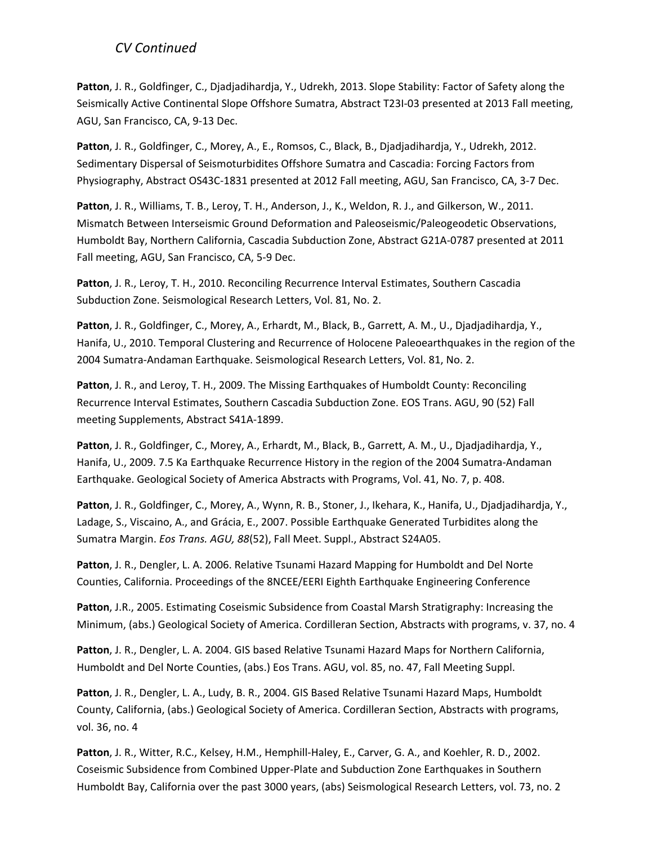**Patton**, J. R., Goldfinger, C., Djadjadihardja, Y., Udrekh, 2013. Slope Stability: Factor of Safety along the Seismically Active Continental Slope Offshore Sumatra, Abstract T23I‐03 presented at 2013 Fall meeting, AGU, San Francisco, CA, 9‐13 Dec.

**Patton**, J. R., Goldfinger, C., Morey, A., E., Romsos, C., Black, B., Djadjadihardja, Y., Udrekh, 2012. Sedimentary Dispersal of Seismoturbidites Offshore Sumatra and Cascadia: Forcing Factors from Physiography, Abstract OS43C‐1831 presented at 2012 Fall meeting, AGU, San Francisco, CA, 3‐7 Dec.

**Patton**, J. R., Williams, T. B., Leroy, T. H., Anderson, J., K., Weldon, R. J., and Gilkerson, W., 2011. Mismatch Between Interseismic Ground Deformation and Paleoseismic/Paleogeodetic Observations, Humboldt Bay, Northern California, Cascadia Subduction Zone, Abstract G21A‐0787 presented at 2011 Fall meeting, AGU, San Francisco, CA, 5‐9 Dec.

**Patton**, J. R., Leroy, T. H., 2010. Reconciling Recurrence Interval Estimates, Southern Cascadia Subduction Zone. Seismological Research Letters, Vol. 81, No. 2.

**Patton**, J. R., Goldfinger, C., Morey, A., Erhardt, M., Black, B., Garrett, A. M., U., Djadjadihardja, Y., Hanifa, U., 2010. Temporal Clustering and Recurrence of Holocene Paleoearthquakes in the region of the 2004 Sumatra‐Andaman Earthquake. Seismological Research Letters, Vol. 81, No. 2.

**Patton**, J. R., and Leroy, T. H., 2009. The Missing Earthquakes of Humboldt County: Reconciling Recurrence Interval Estimates, Southern Cascadia Subduction Zone. EOS Trans. AGU, 90 (52) Fall meeting Supplements, Abstract S41A‐1899.

**Patton**, J. R., Goldfinger, C., Morey, A., Erhardt, M., Black, B., Garrett, A. M., U., Djadjadihardja, Y., Hanifa, U., 2009. 7.5 Ka Earthquake Recurrence History in the region of the 2004 Sumatra‐Andaman Earthquake. Geological Society of America Abstracts with Programs, Vol. 41, No. 7, p. 408.

**Patton**, J. R., Goldfinger, C., Morey, A., Wynn, R. B., Stoner, J., Ikehara, K., Hanifa, U., Djadjadihardja, Y., Ladage, S., Viscaino, A., and Grácia, E., 2007. Possible Earthquake Generated Turbidites along the Sumatra Margin. *Eos Trans. AGU, 88*(52), Fall Meet. Suppl., Abstract S24A05.

Patton, J. R., Dengler, L. A. 2006. Relative Tsunami Hazard Mapping for Humboldt and Del Norte Counties, California. Proceedings of the 8NCEE/EERI Eighth Earthquake Engineering Conference

**Patton**, J.R., 2005. Estimating Coseismic Subsidence from Coastal Marsh Stratigraphy: Increasing the Minimum, (abs.) Geological Society of America. Cordilleran Section, Abstracts with programs, v. 37, no. 4

**Patton**, J. R., Dengler, L. A. 2004. GIS based Relative Tsunami Hazard Maps for Northern California, Humboldt and Del Norte Counties, (abs.) Eos Trans. AGU, vol. 85, no. 47, Fall Meeting Suppl.

**Patton**, J. R., Dengler, L. A., Ludy, B. R., 2004. GIS Based Relative Tsunami Hazard Maps, Humboldt County, California, (abs.) Geological Society of America. Cordilleran Section, Abstracts with programs, vol. 36, no. 4

Patton, J. R., Witter, R.C., Kelsey, H.M., Hemphill-Haley, E., Carver, G. A., and Koehler, R. D., 2002. Coseismic Subsidence from Combined Upper‐Plate and Subduction Zone Earthquakes in Southern Humboldt Bay, California over the past 3000 years, (abs) Seismological Research Letters, vol. 73, no. 2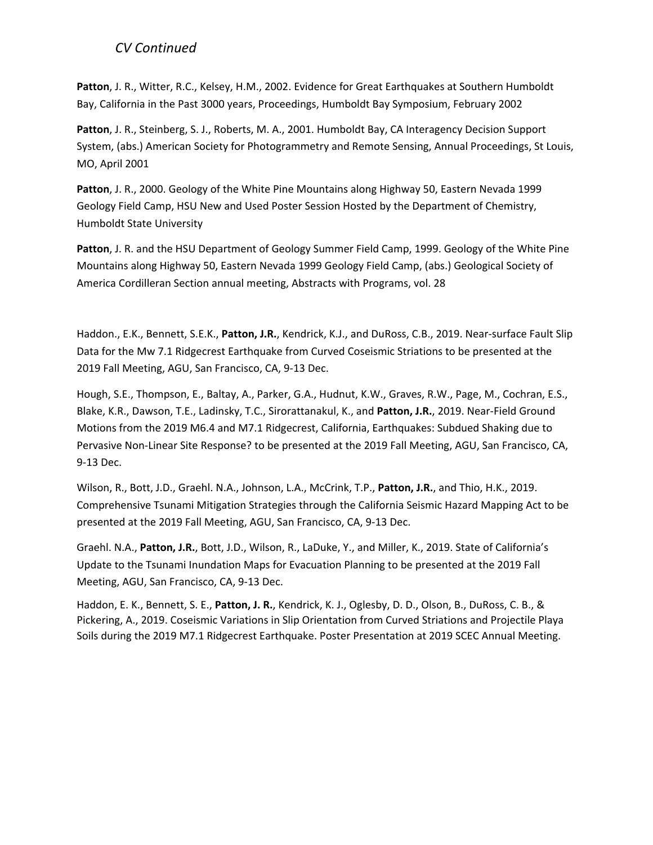**Patton**, J. R., Witter, R.C., Kelsey, H.M., 2002. Evidence for Great Earthquakes at Southern Humboldt Bay, California in the Past 3000 years, Proceedings, Humboldt Bay Symposium, February 2002

**Patton**, J. R., Steinberg, S. J., Roberts, M. A., 2001. Humboldt Bay, CA Interagency Decision Support System, (abs.) American Society for Photogrammetry and Remote Sensing, Annual Proceedings, St Louis, MO, April 2001

**Patton**, J. R., 2000. Geology of the White Pine Mountains along Highway 50, Eastern Nevada 1999 Geology Field Camp, HSU New and Used Poster Session Hosted by the Department of Chemistry, Humboldt State University

**Patton**, J. R. and the HSU Department of Geology Summer Field Camp, 1999. Geology of the White Pine Mountains along Highway 50, Eastern Nevada 1999 Geology Field Camp, (abs.) Geological Society of America Cordilleran Section annual meeting, Abstracts with Programs, vol. 28

Haddon., E.K., Bennett, S.E.K., **Patton, J.R.**, Kendrick, K.J., and DuRoss, C.B., 2019. Near‐surface Fault Slip Data for the Mw 7.1 Ridgecrest Earthquake from Curved Coseismic Striations to be presented at the 2019 Fall Meeting, AGU, San Francisco, CA, 9‐13 Dec.

Hough, S.E., Thompson, E., Baltay, A., Parker, G.A., Hudnut, K.W., Graves, R.W., Page, M., Cochran, E.S., Blake, K.R., Dawson, T.E., Ladinsky, T.C., Sirorattanakul, K., and **Patton, J.R.**, 2019. Near‐Field Ground Motions from the 2019 M6.4 and M7.1 Ridgecrest, California, Earthquakes: Subdued Shaking due to Pervasive Non‐Linear Site Response? to be presented at the 2019 Fall Meeting, AGU, San Francisco, CA, 9‐13 Dec.

Wilson, R., Bott, J.D., Graehl. N.A., Johnson, L.A., McCrink, T.P., **Patton, J.R.**, and Thio, H.K., 2019. Comprehensive Tsunami Mitigation Strategies through the California Seismic Hazard Mapping Act to be presented at the 2019 Fall Meeting, AGU, San Francisco, CA, 9‐13 Dec.

Graehl. N.A., **Patton, J.R.**, Bott, J.D., Wilson, R., LaDuke, Y., and Miller, K., 2019. State of California's Update to the Tsunami Inundation Maps for Evacuation Planning to be presented at the 2019 Fall Meeting, AGU, San Francisco, CA, 9‐13 Dec.

Haddon, E. K., Bennett, S. E., **Patton, J. R.**, Kendrick, K. J., Oglesby, D. D., Olson, B., DuRoss, C. B., & Pickering, A., 2019. Coseismic Variations in Slip Orientation from Curved Striations and Projectile Playa Soils during the 2019 M7.1 Ridgecrest Earthquake. Poster Presentation at 2019 SCEC Annual Meeting.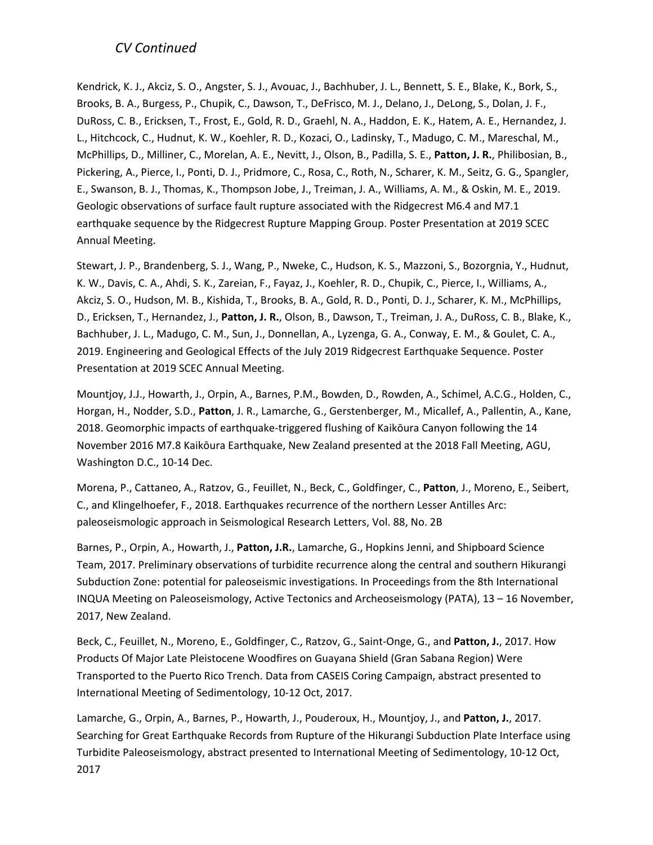Kendrick, K. J., Akciz, S. O., Angster, S. J., Avouac, J., Bachhuber, J. L., Bennett, S. E., Blake, K., Bork, S., Brooks, B. A., Burgess, P., Chupik, C., Dawson, T., DeFrisco, M. J., Delano, J., DeLong, S., Dolan, J. F., DuRoss, C. B., Ericksen, T., Frost, E., Gold, R. D., Graehl, N. A., Haddon, E. K., Hatem, A. E., Hernandez, J. L., Hitchcock, C., Hudnut, K. W., Koehler, R. D., Kozaci, O., Ladinsky, T., Madugo, C. M., Mareschal, M., McPhillips, D., Milliner, C., Morelan, A. E., Nevitt, J., Olson, B., Padilla, S. E., **Patton, J. R.**, Philibosian, B., Pickering, A., Pierce, I., Ponti, D. J., Pridmore, C., Rosa, C., Roth, N., Scharer, K. M., Seitz, G. G., Spangler, E., Swanson, B. J., Thomas, K., Thompson Jobe, J., Treiman, J. A., Williams, A. M., & Oskin, M. E., 2019. Geologic observations of surface fault rupture associated with the Ridgecrest M6.4 and M7.1 earthquake sequence by the Ridgecrest Rupture Mapping Group. Poster Presentation at 2019 SCEC Annual Meeting.

Stewart, J. P., Brandenberg, S. J., Wang, P., Nweke, C., Hudson, K. S., Mazzoni, S., Bozorgnia, Y., Hudnut, K. W., Davis, C. A., Ahdi, S. K., Zareian, F., Fayaz, J., Koehler, R. D., Chupik, C., Pierce, I., Williams, A., Akciz, S. O., Hudson, M. B., Kishida, T., Brooks, B. A., Gold, R. D., Ponti, D. J., Scharer, K. M., McPhillips, D., Ericksen, T., Hernandez, J., **Patton, J. R.**, Olson, B., Dawson, T., Treiman, J. A., DuRoss, C. B., Blake, K., Bachhuber, J. L., Madugo, C. M., Sun, J., Donnellan, A., Lyzenga, G. A., Conway, E. M., & Goulet, C. A., 2019. Engineering and Geological Effects of the July 2019 Ridgecrest Earthquake Sequence. Poster Presentation at 2019 SCEC Annual Meeting.

Mountjoy, J.J., Howarth, J., Orpin, A., Barnes, P.M., Bowden, D., Rowden, A., Schimel, A.C.G., Holden, C., Horgan, H., Nodder, S.D., **Patton**, J. R., Lamarche, G., Gerstenberger, M., Micallef, A., Pallentin, A., Kane, 2018. Geomorphic impacts of earthquake‐triggered flushing of Kaikōura Canyon following the 14 November 2016 M7.8 Kaikōura Earthquake, New Zealand presented at the 2018 Fall Meeting, AGU, Washington D.C., 10‐14 Dec.

Morena, P., Cattaneo, A., Ratzov, G., Feuillet, N., Beck, C., Goldfinger, C., **Patton**, J., Moreno, E., Seibert, C., and Klingelhoefer, F., 2018. Earthquakes recurrence of the northern Lesser Antilles Arc: paleoseismologic approach in Seismological Research Letters, Vol. 88, No. 2B

Barnes, P., Orpin, A., Howarth, J., **Patton, J.R.**, Lamarche, G., Hopkins Jenni, and Shipboard Science Team, 2017. Preliminary observations of turbidite recurrence along the central and southern Hikurangi Subduction Zone: potential for paleoseismic investigations. In Proceedings from the 8th International INQUA Meeting on Paleoseismology, Active Tectonics and Archeoseismology (PATA), 13 – 16 November, 2017, New Zealand.

Beck, C., Feuillet, N., Moreno, E., Goldfinger, C., Ratzov, G., Saint‐Onge, G., and **Patton, J.**, 2017. How Products Of Major Late Pleistocene Woodfires on Guayana Shield (Gran Sabana Region) Were Transported to the Puerto Rico Trench. Data from CASEIS Coring Campaign, abstract presented to International Meeting of Sedimentology, 10‐12 Oct, 2017.

Lamarche, G., Orpin, A., Barnes, P., Howarth, J., Pouderoux, H., Mountjoy, J., and **Patton, J.**, 2017. Searching for Great Earthquake Records from Rupture of the Hikurangi Subduction Plate Interface using Turbidite Paleoseismology, abstract presented to International Meeting of Sedimentology, 10‐12 Oct, 2017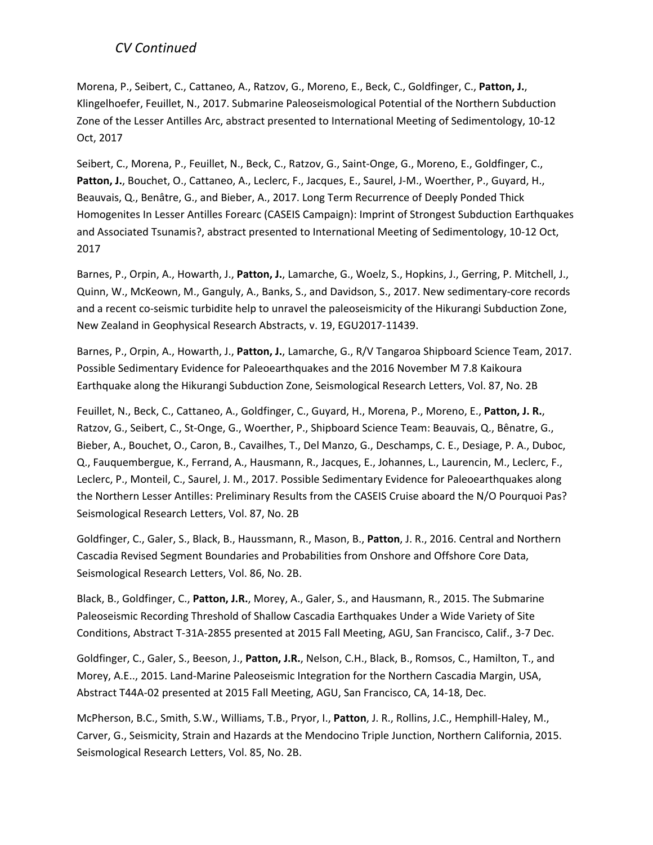Morena, P., Seibert, C., Cattaneo, A., Ratzov, G., Moreno, E., Beck, C., Goldfinger, C., **Patton, J.**, Klingelhoefer, Feuillet, N., 2017. Submarine Paleoseismological Potential of the Northern Subduction Zone of the Lesser Antilles Arc, abstract presented to International Meeting of Sedimentology, 10‐12 Oct, 2017

Seibert, C., Morena, P., Feuillet, N., Beck, C., Ratzov, G., Saint‐Onge, G., Moreno, E., Goldfinger, C., **Patton, J.**, Bouchet, O., Cattaneo, A., Leclerc, F., Jacques, E., Saurel, J‐M., Woerther, P., Guyard, H., Beauvais, Q., Benâtre, G., and Bieber, A., 2017. Long Term Recurrence of Deeply Ponded Thick Homogenites In Lesser Antilles Forearc (CASEIS Campaign): Imprint of Strongest Subduction Earthquakes and Associated Tsunamis?, abstract presented to International Meeting of Sedimentology, 10‐12 Oct, 2017

Barnes, P., Orpin, A., Howarth, J., **Patton, J.**, Lamarche, G., Woelz, S., Hopkins, J., Gerring, P. Mitchell, J., Quinn, W., McKeown, M., Ganguly, A., Banks, S., and Davidson, S., 2017. New sedimentary‐core records and a recent co-seismic turbidite help to unravel the paleoseismicity of the Hikurangi Subduction Zone, New Zealand in Geophysical Research Abstracts, v. 19, EGU2017‐11439.

Barnes, P., Orpin, A., Howarth, J., **Patton, J.**, Lamarche, G., R/V Tangaroa Shipboard Science Team, 2017. Possible Sedimentary Evidence for Paleoearthquakes and the 2016 November M 7.8 Kaikoura Earthquake along the Hikurangi Subduction Zone, Seismological Research Letters, Vol. 87, No. 2B

Feuillet, N., Beck, C., Cattaneo, A., Goldfinger, C., Guyard, H., Morena, P., Moreno, E., **Patton, J. R.**, Ratzov, G., Seibert, C., St‐Onge, G., Woerther, P., Shipboard Science Team: Beauvais, Q., Bênatre, G., Bieber, A., Bouchet, O., Caron, B., Cavailhes, T., Del Manzo, G., Deschamps, C. E., Desiage, P. A., Duboc, Q., Fauquembergue, K., Ferrand, A., Hausmann, R., Jacques, E., Johannes, L., Laurencin, M., Leclerc, F., Leclerc, P., Monteil, C., Saurel, J. M., 2017. Possible Sedimentary Evidence for Paleoearthquakes along the Northern Lesser Antilles: Preliminary Results from the CASEIS Cruise aboard the N/O Pourquoi Pas? Seismological Research Letters, Vol. 87, No. 2B

Goldfinger, C., Galer, S., Black, B., Haussmann, R., Mason, B., **Patton**, J. R., 2016. Central and Northern Cascadia Revised Segment Boundaries and Probabilities from Onshore and Offshore Core Data, Seismological Research Letters, Vol. 86, No. 2B.

Black, B., Goldfinger, C., **Patton, J.R.**, Morey, A., Galer, S., and Hausmann, R., 2015. The Submarine Paleoseismic Recording Threshold of Shallow Cascadia Earthquakes Under a Wide Variety of Site Conditions, Abstract T‐31A‐2855 presented at 2015 Fall Meeting, AGU, San Francisco, Calif., 3‐7 Dec.

Goldfinger, C., Galer, S., Beeson, J., **Patton, J.R.**, Nelson, C.H., Black, B., Romsos, C., Hamilton, T., and Morey, A.E.., 2015. Land‐Marine Paleoseismic Integration for the Northern Cascadia Margin, USA, Abstract T44A‐02 presented at 2015 Fall Meeting, AGU, San Francisco, CA, 14‐18, Dec.

McPherson, B.C., Smith, S.W., Williams, T.B., Pryor, I., **Patton**, J. R., Rollins, J.C., Hemphill‐Haley, M., Carver, G., Seismicity, Strain and Hazards at the Mendocino Triple Junction, Northern California, 2015. Seismological Research Letters, Vol. 85, No. 2B.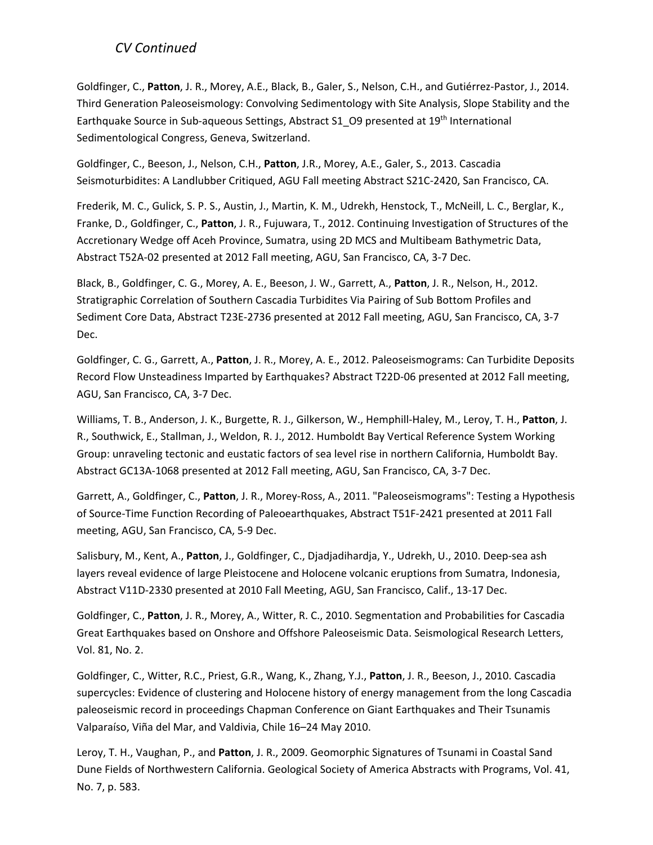Goldfinger, C., **Patton**, J. R., Morey, A.E., Black, B., Galer, S., Nelson, C.H., and Gutiérrez‐Pastor, J., 2014. Third Generation Paleoseismology: Convolving Sedimentology with Site Analysis, Slope Stability and the Earthquake Source in Sub-aqueous Settings, Abstract S1\_O9 presented at 19<sup>th</sup> International Sedimentological Congress, Geneva, Switzerland.

Goldfinger, C., Beeson, J., Nelson, C.H., **Patton**, J.R., Morey, A.E., Galer, S., 2013. Cascadia Seismoturbidites: A Landlubber Critiqued, AGU Fall meeting Abstract S21C‐2420, San Francisco, CA.

Frederik, M. C., Gulick, S. P. S., Austin, J., Martin, K. M., Udrekh, Henstock, T., McNeill, L. C., Berglar, K., Franke, D., Goldfinger, C., **Patton**, J. R., Fujuwara, T., 2012. Continuing Investigation of Structures of the Accretionary Wedge off Aceh Province, Sumatra, using 2D MCS and Multibeam Bathymetric Data, Abstract T52A‐02 presented at 2012 Fall meeting, AGU, San Francisco, CA, 3‐7 Dec.

Black, B., Goldfinger, C. G., Morey, A. E., Beeson, J. W., Garrett, A., **Patton**, J. R., Nelson, H., 2012. Stratigraphic Correlation of Southern Cascadia Turbidites Via Pairing of Sub Bottom Profiles and Sediment Core Data, Abstract T23E‐2736 presented at 2012 Fall meeting, AGU, San Francisco, CA, 3‐7 Dec.

Goldfinger, C. G., Garrett, A., **Patton**, J. R., Morey, A. E., 2012. Paleoseismograms: Can Turbidite Deposits Record Flow Unsteadiness Imparted by Earthquakes? Abstract T22D‐06 presented at 2012 Fall meeting, AGU, San Francisco, CA, 3‐7 Dec.

Williams, T. B., Anderson, J. K., Burgette, R. J., Gilkerson, W., Hemphill‐Haley, M., Leroy, T. H., **Patton**, J. R., Southwick, E., Stallman, J., Weldon, R. J., 2012. Humboldt Bay Vertical Reference System Working Group: unraveling tectonic and eustatic factors of sea level rise in northern California, Humboldt Bay. Abstract GC13A‐1068 presented at 2012 Fall meeting, AGU, San Francisco, CA, 3‐7 Dec.

Garrett, A., Goldfinger, C., **Patton**, J. R., Morey‐Ross, A., 2011. "Paleoseismograms": Testing a Hypothesis of Source‐Time Function Recording of Paleoearthquakes, Abstract T51F‐2421 presented at 2011 Fall meeting, AGU, San Francisco, CA, 5‐9 Dec.

Salisbury, M., Kent, A., **Patton**, J., Goldfinger, C., Djadjadihardja, Y., Udrekh, U., 2010. Deep‐sea ash layers reveal evidence of large Pleistocene and Holocene volcanic eruptions from Sumatra, Indonesia, Abstract V11D‐2330 presented at 2010 Fall Meeting, AGU, San Francisco, Calif., 13‐17 Dec.

Goldfinger, C., **Patton**, J. R., Morey, A., Witter, R. C., 2010. Segmentation and Probabilities for Cascadia Great Earthquakes based on Onshore and Offshore Paleoseismic Data. Seismological Research Letters, Vol. 81, No. 2.

Goldfinger, C., Witter, R.C., Priest, G.R., Wang, K., Zhang, Y.J., **Patton**, J. R., Beeson, J., 2010. Cascadia supercycles: Evidence of clustering and Holocene history of energy management from the long Cascadia paleoseismic record in proceedings Chapman Conference on Giant Earthquakes and Their Tsunamis Valparaíso, Viña del Mar, and Valdivia, Chile 16–24 May 2010.

Leroy, T. H., Vaughan, P., and **Patton**, J. R., 2009. Geomorphic Signatures of Tsunami in Coastal Sand Dune Fields of Northwestern California. Geological Society of America Abstracts with Programs, Vol. 41, No. 7, p. 583.